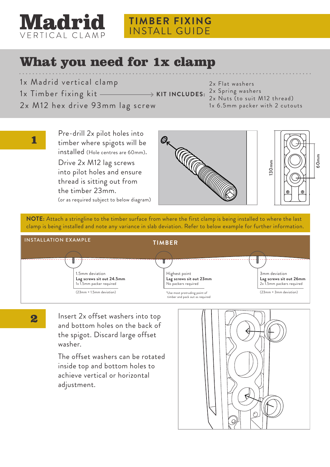

## **TIMBER FIXING** INSTALL GUIDE

## What you need for 1x clamp

- 1x Madrid vertical clamp
	-
- 1x Timber fixing kit

1

2

2x Flat washers 2x Spring washers **KIT INCLUDES:**

2x M12 hex drive 93mm lag screw

2x Nuts (to suit M12 thread) 1x 6.5mm packer with 2 cutouts

Pre-drill 2x pilot holes into timber where spigots will be installed (Hole centres are 60mm). Drive 2x M12 lag screws

into pilot holes and ensure thread is sitting out from the timber 23mm. (or as required subject to below diagram)





**NOTE:** Attach a stringline to the timber surface from where the first clamp is being installed to where the last clamp is being installed and note any variance in slab deviation. Refer to below example for further information.



Insert 2x offset washers into top and bottom holes on the back of the spigot. Discard large offset washer.

The offset washers can be rotated inside top and bottom holes to achieve vertical or horizontal adjustment.